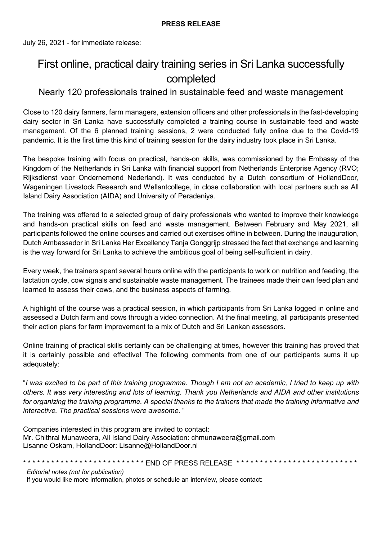July 26, 2021 - for immediate release:

# First online, practical dairy training series in Sri Lanka successfully completed

## Nearly 120 professionals trained in sustainable feed and waste management

Close to 120 dairy farmers, farm managers, extension officers and other professionals in the fast-developing dairy sector in Sri Lanka have successfully completed a training course in sustainable feed and waste management. Of the 6 planned training sessions, 2 were conducted fully online due to the Covid-19 pandemic. It is the first time this kind of training session for the dairy industry took place in Sri Lanka.

The bespoke training with focus on practical, hands-on skills, was commissioned by the Embassy of the Kingdom of the Netherlands in Sri Lanka with financial support from Netherlands Enterprise Agency (RVO; Rijksdienst voor Ondernemend Nederland). It was conducted by a Dutch consortium of HollandDoor, Wageningen Livestock Research and Wellantcollege, in close collaboration with local partners such as All Island Dairy Association (AIDA) and University of Peradeniya.

The training was offered to a selected group of dairy professionals who wanted to improve their knowledge and hands-on practical skills on feed and waste management. Between February and May 2021, all participants followed the online courses and carried out exercises offline in between. During the inauguration, Dutch Ambassador in Sri Lanka Her Excellency Tanja Gonggrijp stressed the fact that exchange and learning is the way forward for Sri Lanka to achieve the ambitious goal of being self-sufficient in dairy.

Every week, the trainers spent several hours online with the participants to work on nutrition and feeding, the lactation cycle, cow signals and sustainable waste management. The trainees made their own feed plan and learned to assess their cows, and the business aspects of farming.

A highlight of the course was a practical session, in which participants from Sri Lanka logged in online and assessed a Dutch farm and cows through a video connection. At the final meeting, all participants presented their action plans for farm improvement to a mix of Dutch and Sri Lankan assessors.

Online training of practical skills certainly can be challenging at times, however this training has proved that it is certainly possible and effective! The following comments from one of our participants sums it up adequately:

"*I was excited to be part of this training programme. Though I am not an academic, I tried to keep up with others. It was very interesting and lots of learning. Thank you Netherlands and AIDA and other institutions for organizing the training programme. A special thanks to the trainers that made the training informative and interactive. The practical sessions were awesome.* "

Companies interested in this program are invited to contact: Mr. Chithral Munaweera, All Island Dairy Association: chmunaweera@gmail.com Lisanne Oskam, HollandDoor: Lisanne@HollandDoor.nl

\*\*\*\*\*\*\*\*\*\*\*\*\*\*\*\*\*\*\*\*\*\*\*\*\*\* END OF PRESS RELEASE \*\*\*\*\*\*\*\*\*\*\*\*\*\*\*\*\*\*\*\*\*\*\*\*\*\*\*\*\*\*

*Editorial notes (not for publication)*

If you would like more information, photos or schedule an interview, please contact: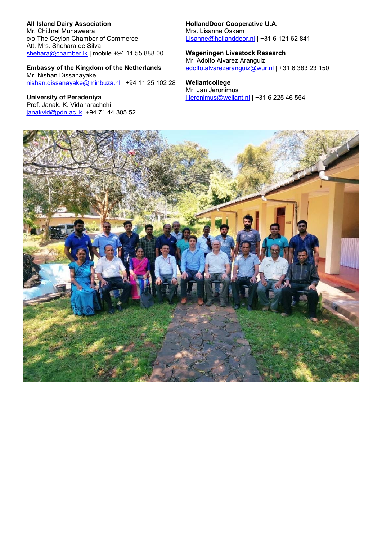### **All Island Dairy Association**

Mr. Chithral Munaweera c/o The Ceylon Chamber of Commerce Att. Mrs. Shehara de Silva [shehara@chamber.lk](mailto:shehara@chamber.lk) | mobile +94 11 55 888 00

### **Embassy of the Kingdom of the Netherlands**

Mr. Nishan Dissanayake [nishan.dissanayake@minbuza.nl](mailto:nishan.dissanayake@minbuza.nl) | +94 11 25 102 28

**University of Peradeniya** Prof. Janak. K. Vidanarachchi [janakvid@pdn.ac.lk](mailto:janakvid@pdn.ac.lk) |+94 71 44 305 52 **HollandDoor Cooperative U.A.** Mrs. Lisanne Oskam [Lisanne@hollanddoor.nl](mailto:Lisanne@hollanddoor.nl) | +31 6 121 62 841

#### **Wageningen Livestock Research** Mr. Adolfo Alvarez Aranguiz [adolfo.alvarezaranguiz@wur.nl](mailto:adolfo.alvarezaranguiz@wur.nl) | +31 6 383 23 150

**Wellantcollege** Mr. Jan Jeronimus [j.jeronimus@wellant.nl](mailto:j.jeronimus@wellant.nl) | +31 6 225 46 554